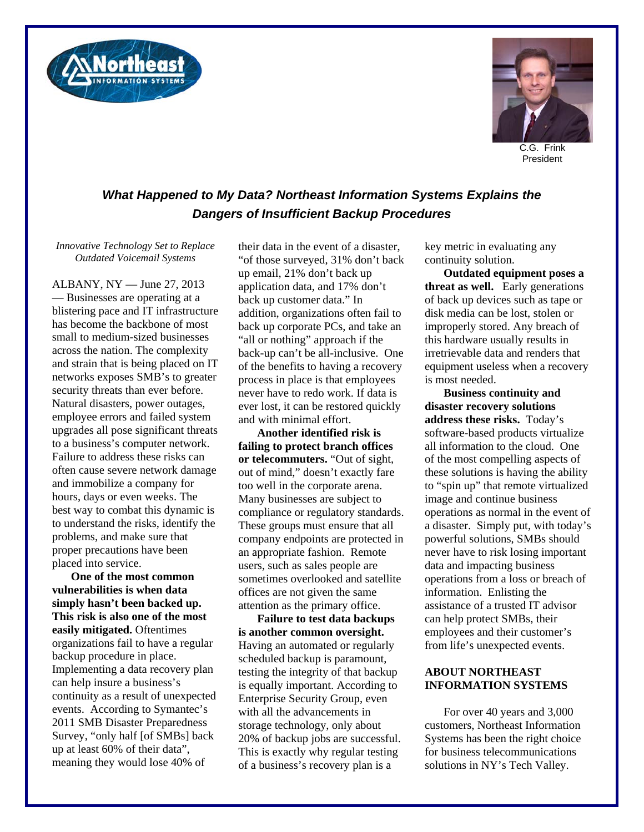



C.G. Frink President

## *What Happened to My Data? Northeast Information Systems Explains the Dangers of Insufficient Backup Procedures*

*Innovative Technology Set to Replace Outdated Voicemail Systems* 

ALBANY, NY — June 27, 2013 — Businesses are operating at a blistering pace and IT infrastructure has become the backbone of most small to medium-sized businesses across the nation. The complexity and strain that is being placed on IT networks exposes SMB's to greater security threats than ever before. Natural disasters, power outages, employee errors and failed system upgrades all pose significant threats to a business's computer network. Failure to address these risks can often cause severe network damage and immobilize a company for hours, days or even weeks. The best way to combat this dynamic is to understand the risks, identify the problems, and make sure that proper precautions have been placed into service.

**One of the most common vulnerabilities is when data simply hasn't been backed up. This risk is also one of the most easily mitigated.** Oftentimes organizations fail to have a regular backup procedure in place. Implementing a data recovery plan can help insure a business's continuity as a result of unexpected events. According to Symantec's 2011 SMB Disaster Preparedness Survey, "only half [of SMBs] back up at least 60% of their data", meaning they would lose 40% of

their data in the event of a disaster, "of those surveyed, 31% don't back up email, 21% don't back up application data, and 17% don't back up customer data." In addition, organizations often fail to back up corporate PCs, and take an "all or nothing" approach if the back-up can't be all-inclusive. One of the benefits to having a recovery process in place is that employees never have to redo work. If data is ever lost, it can be restored quickly and with minimal effort.

**Another identified risk is failing to protect branch offices or telecommuters.** "Out of sight, out of mind," doesn't exactly fare too well in the corporate arena. Many businesses are subject to compliance or regulatory standards. These groups must ensure that all company endpoints are protected in an appropriate fashion. Remote users, such as sales people are sometimes overlooked and satellite offices are not given the same attention as the primary office.

**Failure to test data backups is another common oversight.**  Having an automated or regularly scheduled backup is paramount, testing the integrity of that backup is equally important. According to Enterprise Security Group, even with all the advancements in storage technology, only about 20% of backup jobs are successful. This is exactly why regular testing of a business's recovery plan is a

key metric in evaluating any continuity solution.

**Outdated equipment poses a threat as well.** Early generations of back up devices such as tape or disk media can be lost, stolen or improperly stored. Any breach of this hardware usually results in irretrievable data and renders that equipment useless when a recovery is most needed.

**Business continuity and disaster recovery solutions address these risks.** Today's software-based products virtualize all information to the cloud. One of the most compelling aspects of these solutions is having the ability to "spin up" that remote virtualized image and continue business operations as normal in the event of a disaster. Simply put, with today's powerful solutions, SMBs should never have to risk losing important data and impacting business operations from a loss or breach of information. Enlisting the assistance of a trusted IT advisor can help protect SMBs, their employees and their customer's from life's unexpected events.

## **ABOUT NORTHEAST INFORMATION SYSTEMS**

For over 40 years and 3,000 customers, Northeast Information Systems has been the right choice for business telecommunications solutions in NY's Tech Valley.